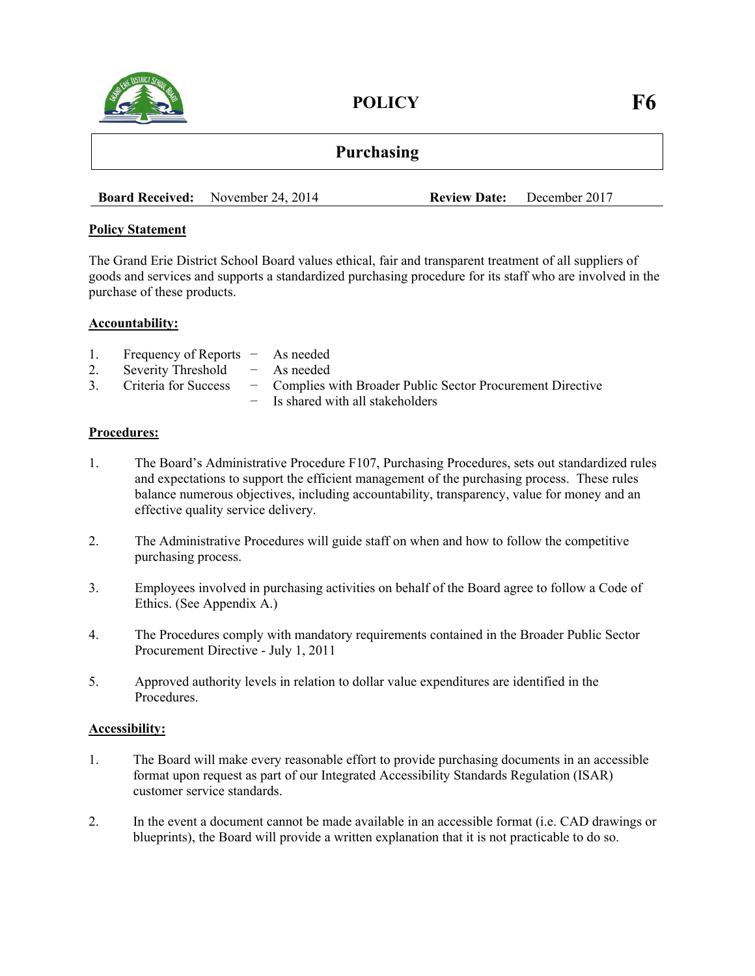

POLICY F6

**Board Received:** November 24, 2014 **Review Date:** December 2017

## **Policy Statement**

The Grand Erie District School Board values ethical, fair and transparent treatment of all suppliers of goods and services and supports a standardized purchasing procedure for its staff who are involved in the purchase of these products.

### **Accountability:**

| 1. | Frequency of Reports - As needed    |                                                                                     |
|----|-------------------------------------|-------------------------------------------------------------------------------------|
|    | 2. Severity Threshold $-$ As needed |                                                                                     |
|    |                                     | 3. Criteria for Success - Complies with Broader Public Sector Procurement Directive |
|    |                                     | - Is shared with all stakeholders                                                   |

### **Procedures:**

- 1. The Board's Administrative Procedure F107, Purchasing Procedures, sets out standardized rules and expectations to support the efficient management of the purchasing process. These rules balance numerous objectives, including accountability, transparency, value for money and an effective quality service delivery.
- 2. The Administrative Procedures will guide staff on when and how to follow the competitive purchasing process.
- 3. Employees involved in purchasing activities on behalf of the Board agree to follow a Code of Ethics. (See Appendix A.)
- 4. The Procedures comply with mandatory requirements contained in the Broader Public Sector Procurement Directive - July 1, 2011
- 5. Approved authority levels in relation to dollar value expenditures are identified in the **Procedures**

## **Accessibility:**

- 1. The Board will make every reasonable effort to provide purchasing documents in an accessible format upon request as part of our Integrated Accessibility Standards Regulation (ISAR) customer service standards.
- 2. In the event a document cannot be made available in an accessible format (i.e. CAD drawings or blueprints), the Board will provide a written explanation that it is not practicable to do so.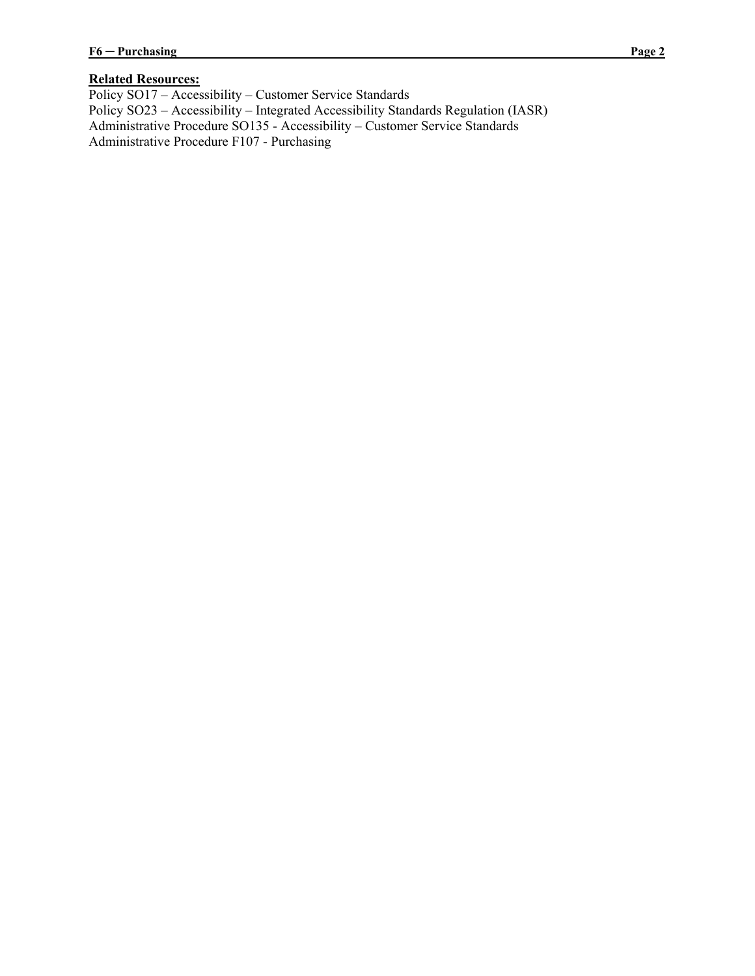# **Related Resources:**

Policy SO17 – Accessibility – Customer Service Standards Policy SO23 – Accessibility – Integrated Accessibility Standards Regulation (IASR) Administrative Procedure SO135 - Accessibility – Customer Service Standards Administrative Procedure F107 - Purchasing